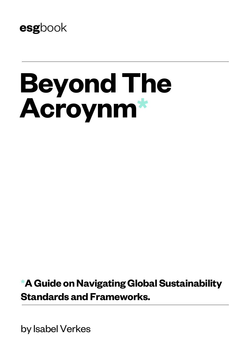

# **Beyond The Acroynm\***

**\*A Guide on Navigating Global Sustainability Standards and Frameworks.**

by Isabel Verkes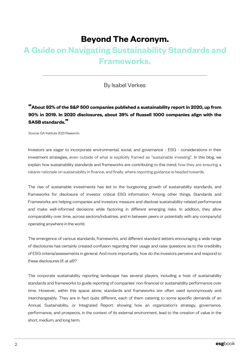# **Beyond The Acronym.**

# **A Guide on Navigating Sustainability Standards and Frameworks.**

### By Isabel Verkes

# **"About 92% of the S&P <sup>500</sup> companies published <sup>a</sup> sustainability report in 2020, up from 90% in 2019. In 2020 disclosures, about 39% of Russell 1000 companies align with the SASB standards."**

Source: GA Institute 2021 Research.

Investors are eager to incorporate environmental, social, and governance - ESG - considerations in their investment strategies, even outside of what is explicitly framed as "sustainable investing". In this blog, we explain how sustainability standards and frameworks are contributing to this trend; how they are ensuring a clearer rationale on sustainability in finance, and finally, where reporting guidance is headed towards.

The rise of sustainable investments has led to the burgeoning growth of sustainability standards, and frameworks for disclosure of investor critical ESG information. Among other things, Standards and Frameworks are helping companies and investors measure and disclose sustainability-related performance and make well-informed decisions while factoring in different emerging risks. In addition, they allow comparability over time, across sectors/industries, and in between peers or potentially with any company(s) operating anywhere in the world.

The emergence of various standards, frameworks, and different standard setters encouraging a wide range of disclosures has certainly created confusion regarding their usage and raise questions as to the credibility of ESG criteria/assessments in general. And more importantly, how do the investors perceive and respond to these disclosures (if, at all)?

The corporate sustainability reporting landscape has several players, including a host of sustainability standards and frameworks to guide reporting of companies' non-financial or sustainability performance over time. However, within this space alone, standards and frameworks are often used synonymously and interchangeably. They are in fact quite different, each of them catering to some specific demands of an Annual, Sustainability, or Integrated Report: showing how an organization's strategy, governance, performance, and prospects, in the context of its external environment, lead to the creation of value in the short, medium, and long term.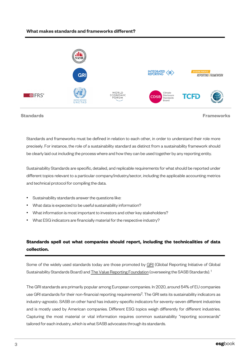#### **What makes standards and frameworks different?**



Standards and frameworks must be defined in relation to each other, in order to understand their role more precisely. For instance, the role of a sustainability standard as distinct from a sustainability framework should be clearly laid out including the process where and how they can be used together by any reporting entity.

Sustainability Standards are specific, detailed, and replicable requirements for what should be reported under different topics relevant to a particular company/industry/sector, including the applicable accounting metrics and technical protocol for compiling the data.

- Sustainability standards answer the questions like:
- What data is expected to be useful sustainability information?
- What information is most important to investors and other key stakeholders?
- What ESG indicators are financially material for the respective industry?

## **Standards spell out what companies should report, including the technicalities of data collection.**

Some of the widely used standards today are those [promoted](https://www.sasb.org/) by GRI (Global Reporting Initiative of Global Sustainability Standards Board) and **The Value Reporting Foundation** (overseeing the SASB Standards).<sup>1</sup>

The GRI standards are primarily popular among European companies. In 2020, around 54% of EU companies use GRI standards for their non-financial reporting requirements<sup>2</sup>. The GRI sets its sustainability indicators as industry-agnostic. SASB on other hand has industry-specific indicators for seventy-seven different industries and is mostly used by American companies. Different ESG topics weigh differently for different industries. Capturing the most material or vital information requires common sustainability "reporting scorecards" tailored for each industry, which is what SASB advocates through its standards.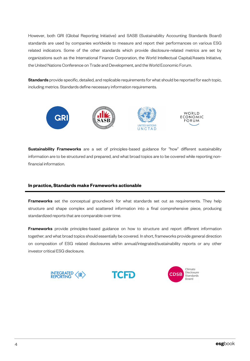However, both GRI (Global Reporting Initiative) and SASB (Sustainability Accounting Standards Board) standards are used by companies worldwide to measure and report their performances on various ESG related indicators. Some of the other standards which provide disclosure-related metrics are set by organizations such as the International Finance Corporation, the World Intellectual Capital/Assets Initiative, the United Nations Conference on Trade and Development, and the World Economic Forum.

Standards provide specific, detailed, and replicable requirements for what should be reported for each topic, including metrics. Standards define necessary information requirements.



Sustainability Frameworks are a set of principles-based guidance for "how" different sustainability information are to be structured and prepared, and what broad topics are to be covered while reporting nonfinancial information.

#### **In practice, Standards make Frameworks actionable**

Frameworks set the conceptual groundwork for what standards set out as requirements. They help structure and shape complex and scattered information into a final comprehensive piece, producing standardized reports that are comparable over time.

Frameworks provide principles-based guidance on how to structure and report different information together; and what broad topics should essentially be covered. In short, frameworks provide general direction on composition of ESG related disclosures within annual/integrated/sustainability reports or any other investor critical ESG disclosure.





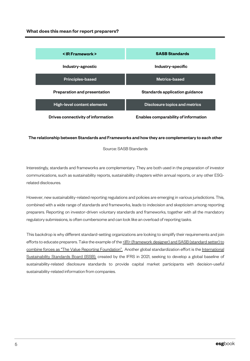| <ir framework=""></ir>              | <b>SASB Standards</b>                |
|-------------------------------------|--------------------------------------|
| Industry-agnostic                   | Industry-specific                    |
| <b>Principles-based</b>             | Metrics-based                        |
| <b>Preparation and presentation</b> | Standards application guidance       |
| High-level content elements         | Disclosure topics and metrics        |
| Drives connectivity of information  | Enables comparability of information |

#### The relationship between Standards and Frameworks and how they are complementary to each other

Source: SASB Standards

Interestingly, standards and frameworks are complementary. They are both used in the preparation of investor communications, such as sustainability reports, sustainability chapters within annual reports, or any other ESGrelated disclosures.

However, new sustainability-related reporting regulations and policies are emerging in various jurisdictions. This, combined with a wide range of standards and frameworks, leads to indecision and skepticism among reporting preparers. Reporting on investor-driven voluntary standards and frameworks, together with all the mandatory regulatory submissions, is often cumbersome and can look like an overload of reporting tasks.

This backdrop is why different standard-setting organizations are looking to simplify their requirements and join efforts to educate preparers. Take the example of the  $\leq$ IR> [\(framework](https://integratedreporting.org/news/iirc-and-sasb-announce-intent-to-merge-in-major-step-towards-simplifying-the-corporate-reporting-system/) designer) and SASB (standard setter) to combine forces as "The Value Reporting Foundation". Another global [standardization](https://www.ifrs.org/groups/international-sustainability-standards-board/) effort is the International Sustainability Standards Board (ISSB), created by the IFRS in 2021, seeking to develop a global baseline of sustainability-related disclosure standards to provide capital market participants with decision-useful sustainability-related information from companies.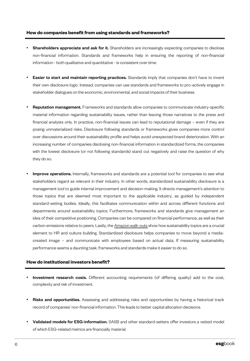#### **How do companies benefit from using standards and frameworks?**

- Shareholders appreciate and ask for it. Shareholders are increasingly expecting companies to disclose non-financial information. Standards and frameworks help in ensuring the reporting of non-financial information - both qualitative and quantitative - is consistent over time.
- **Easier to start and maintain reporting practices.** Standards imply that companies don't have to invent their own disclosure logic. Instead, companies can use standards and frameworks to pro-actively engage in stakeholder dialogues on the economic, environmental, and social impacts of their business.
- **Reputation management.** Frameworks and standards allow companies to communicate industry-specific material information regarding sustainability issues, rather than leaving those narratives to the press and financial analysts only. In practice, non-financial issues can lead to reputational damage – even if they are posing unmaterialized risks. Disclosure following standards or frameworks gives companies more control over discussions around their sustainability profile and helps avoid unexpected brand deterioration. With an increasing number of companies disclosing non-financial information in standardized forms, the companies with the lowest disclosure (or not following standards) stand out negatively and raise the question of why they do so.
- **Improve operations.** Internally, frameworks and standards are a potential tool for companies to see what stakeholders regard as relevant in their industry. In other words, standardized sustainability disclosure is a management tool to guide internal improvement and decision-making. It directs management's attention to those topics that are deemed most important to the applicable industry, as guided by independent standard-setting bodies. Ideally, this facilitates communication within and across different functions and departments around sustainability topics. Furthermore, frameworks and standards give management an idea of their competitive positioning. Companies can be [compare](https://news.wttw.com/2021/04/07/amazon-employees-stage-walkout-distribution-center-over-working-conditions)d on financial performance, as well as their carbon emissions relative to peers. Lastly, the Amazon walk-outs show how sustainability topics are a crucial element to HR and culture building. Standardized disclosure helps companies to move beyond a mediacreated image – and communicate with employees based on actual data. If measuring sustainability performance seems a daunting task, frameworks and standards make it easier to do so.

#### **How do institutional investors benefit?**

- **Investment research costs.** Different accounting requirements (of differing quality) add to the cost, complexity and risk of investment.
- Risks and opportunities. Assessing and addressing risks and opportunities by having a historical track record of companies' non-financial information. This leads to better capital allocation decisions.
- **Validated models for ESG-information.** SASB and other standard-setters offer investors a vetted model of which ESG-related metrics are financially material.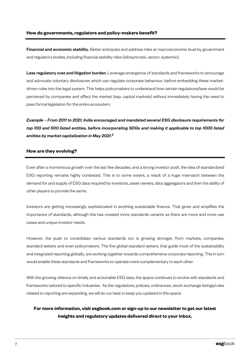Financial and economic stability. Better anticipate and address risks at macroeconomic level by government and regulatory bodies, including financial stability risks (idiosyncratic, sector, systemic).

Less regulatory cost and litigation burden. Leverage emergence of standards and frameworks to encourage and advocate voluntary disclosures which can regulate corporate behaviour, before embedding these marketdriven rules into the legal system. This helps policymakers to understand how certain regulations/laws would be perceived by companies and affect the market (esp. capital markets) without immediately having the need to pass formal legislation for the entire ecosystem.

*Example – From 2011 to 2021, India encouraged and mandated several ESG disclosure requirements for top 100 and 500 listed entities, before incorporating SDGs and making it applicable to top 1000 listed entities by market capitalization in May 2021. 3*

#### **How are they evolving?**

Even after a momentous growth over the last few decades, and a strong investor push, the idea of standardized ESG reporting remains highly contested. This is to some extent, a result of a huge mismatch between the demand for and supply of ESG data required by investors, asset owners, data aggregators and then the ability of other players to provide the same.

Investors are getting increasingly sophisticated in anything sustainable finance. That gives and amplifies the importance of standards, although this has created more standards variants as there are more and more use cases and unique investor needs.

However, the push to consolidate various standards too is growing stronger, from markets, companies, standard setters and even policymakers. The five global standard setters, that guide most of the sustainability and integrated reporting globally, are working together towards comprehensive corporate reporting. This in turn would enable these standards and frameworks to operate more complementary to each other.

With the growing reliance on timely and actionable ESG data, the space continues to evolve with standards and frameworks tailored to specific industries. As the regulations, policies, ordinances, stock exchange listings/rules related to reporting are expanding, we will do our best to keep you updated in this space.

## **For more information, visit esgbook.com or sign-up to our newsletter to get our latest insights and regulatory updates delivered direct to your inbox.**